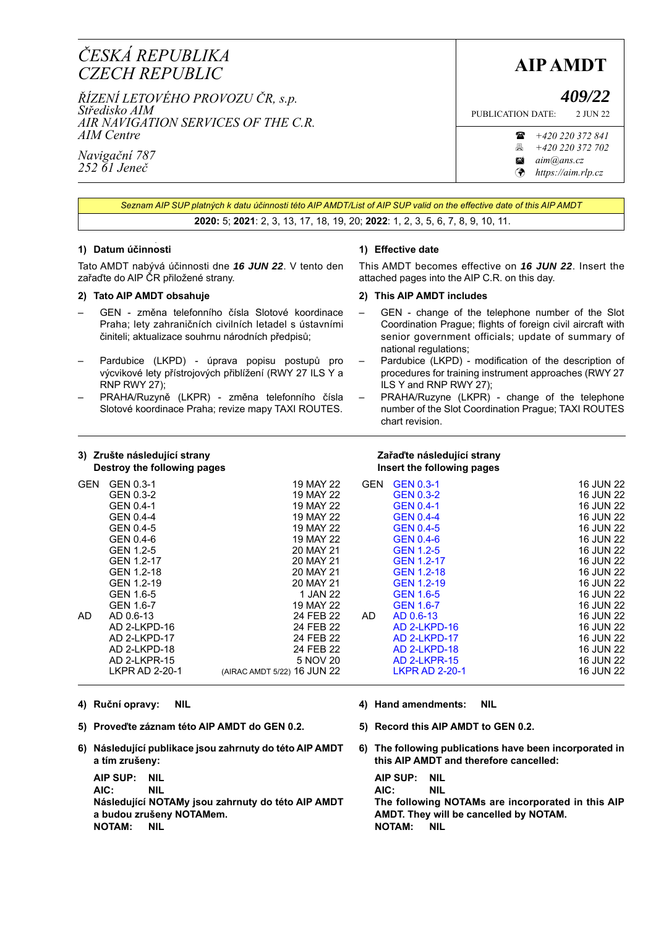# **AIP AMDT** *<sup>Č</sup>ESKÁ REPUBLIKA CZECH REPUBLIC*

*ŘÍZENÍ LETOVÉHO PROVOZU ČR, s.p. Středisko AIM AIR NAVIGATION SERVICES OF THE C.R. AIM Centre*

*Navigační 787 252 61 Jeneč*

*409/22*

PUBLICATION DATE: 2 JUN 22

 *+420 220 372 841 +420 220 372 702*

*aim@ans.cz*

*[https://aim.rlp.cz](http://lis.rlp.cz)*

*Seznam AIP SUP platných k datu účinnosti této AIP AMDT/List of AIP SUP valid on the effective date of this AIP AMDT* **2020:** 5; **2021**: 2, 3, 13, 17, 18, 19, 20; **2022**: 1, 2, 3, 5, 6, 7, 8, 9, 10, 11.

#### . **1) Datum účinnosti**

Tato AMDT nabývá účinnosti dne *16 JUN 22*. V tento den zařaďte do AIP ČR přiložené strany.

### **2) Tato AIP AMDT obsahuje**

- GEN změna telefonního čísla Slotové koordinace Praha; lety zahraničních civilních letadel s ústavními činiteli; aktualizace souhrnu národních předpisů;
- Pardubice (LKPD) úprava popisu postupů pro výcvikové lety přístrojových přiblížení (RWY 27 ILS Y a RNP RWY 27);
- PRAHA/Ruzyně (LKPR) změna telefonního čísla Slotové koordinace Praha; revize mapy TAXI ROUTES.

## **1) Effective date**

This AMDT becomes effective on *16 JUN 22*. Insert the attached pages into the AIP C.R. on this day.

### **2) This AIP AMDT includes**

- GEN change of the telephone number of the Slot Coordination Prague; flights of foreign civil aircraft with senior government officials; update of summary of national regulations;
- Pardubice (LKPD) modification of the description of procedures for training instrument approaches (RWY 27 ILS Y and RNP RWY 27);
- PRAHA/Ruzyne (LKPR) change of the telephone number of the Slot Coordination Prague; TAXI ROUTES chart revision.

| 3) Zrušte následující strany<br>Destroy the following pages |                                                                                                                                                                                                                                                                   |                                                                                                                                                                                                                                                        | Zařaďte následující strany<br>Insert the following pages |                                                                                                                                                                                                                                                                                                                                                              |                                                                                                                                                                                                                                               |
|-------------------------------------------------------------|-------------------------------------------------------------------------------------------------------------------------------------------------------------------------------------------------------------------------------------------------------------------|--------------------------------------------------------------------------------------------------------------------------------------------------------------------------------------------------------------------------------------------------------|----------------------------------------------------------|--------------------------------------------------------------------------------------------------------------------------------------------------------------------------------------------------------------------------------------------------------------------------------------------------------------------------------------------------------------|-----------------------------------------------------------------------------------------------------------------------------------------------------------------------------------------------------------------------------------------------|
| <b>GEN</b><br>AD.                                           | GEN 0.3-1<br>GEN 0.3-2<br>GEN 0.4-1<br>GEN 0.4-4<br>GEN 0.4-5<br>GEN 0.4-6<br>GEN 1.2-5<br>GEN 1.2-17<br>GEN 1.2-18<br>GEN 1.2-19<br>GEN 1.6-5<br>GEN 1.6-7<br>AD 0.6-13<br>AD 2-LKPD-16<br>AD 2-LKPD-17<br>AD 2-LKPD-18<br>AD 2-LKPR-15<br><b>LKPR AD 2-20-1</b> | 19 MAY 22<br>19 MAY 22<br>19 MAY 22<br>19 MAY 22<br>19 MAY 22<br>19 MAY 22<br>20 MAY 21<br>20 MAY 21<br>20 MAY 21<br>20 MAY 21<br>1 JAN 22<br>19 MAY 22<br>24 FEB 22<br>24 FEB 22<br>24 FEB 22<br>24 FEB 22<br>5 NOV 20<br>(AIRAC AMDT 5/22) 16 JUN 22 | <b>GEN</b><br>AD.                                        | <b>GEN 0.3-1</b><br><b>GEN 0.3-2</b><br><b>GEN 0.4-1</b><br><b>GEN 0.4-4</b><br><b>GEN 0.4-5</b><br><b>GEN 0.4-6</b><br><b>GEN 1.2-5</b><br><b>GEN 1.2-17</b><br><b>GEN 1.2-18</b><br><b>GEN 1.2-19</b><br><b>GEN 1.6-5</b><br><b>GEN 1.6-7</b><br>AD 0.6-13<br>AD 2-LKPD-16<br>AD 2-LKPD-17<br>AD 2-LKPD-18<br><b>AD 2-LKPR-15</b><br><b>LKPR AD 2-20-1</b> | 16 JUN 22<br>16 JUN 22<br>16 JUN 22<br>16 JUN 22<br>16 JUN 22<br>16 JUN 22<br>16 JUN 22<br>16 JUN 22<br>16 JUN 22<br>16 JUN 22<br>16 JUN 22<br>16 JUN 22<br>16 JUN 22<br>16 JUN 22<br>16 JUN 22<br>16 JUN 22<br><b>16 JUN 22</b><br>16 JUN 22 |
|                                                             |                                                                                                                                                                                                                                                                   |                                                                                                                                                                                                                                                        |                                                          |                                                                                                                                                                                                                                                                                                                                                              |                                                                                                                                                                                                                                               |

- 
- **5) Proveďte záznam této AIP AMDT do GEN 0.2. 5) Record this AIP AMDT to GEN 0.2.**
- **6) Následující publikace jsou zahrnuty do této AIP AMDT a tím zrušeny:**

**AIP SUP: NIL AIP SUP: NIL AIC: NIL AIC: NIL Následující NOTAMy jsou zahrnuty do této AIP AMDT a budou zrušeny NOTAMem. NOTAM:** NIL NOTAM: NIL

- **4) Ruční opravy: NIL 4) Hand amendments: NIL**
	-
	- **6) The following publications have been incorporated in this AIP AMDT and therefore cancelled:**

**The following NOTAMs are incorporated in this AIP AMDT. They will be cancelled by NOTAM.**